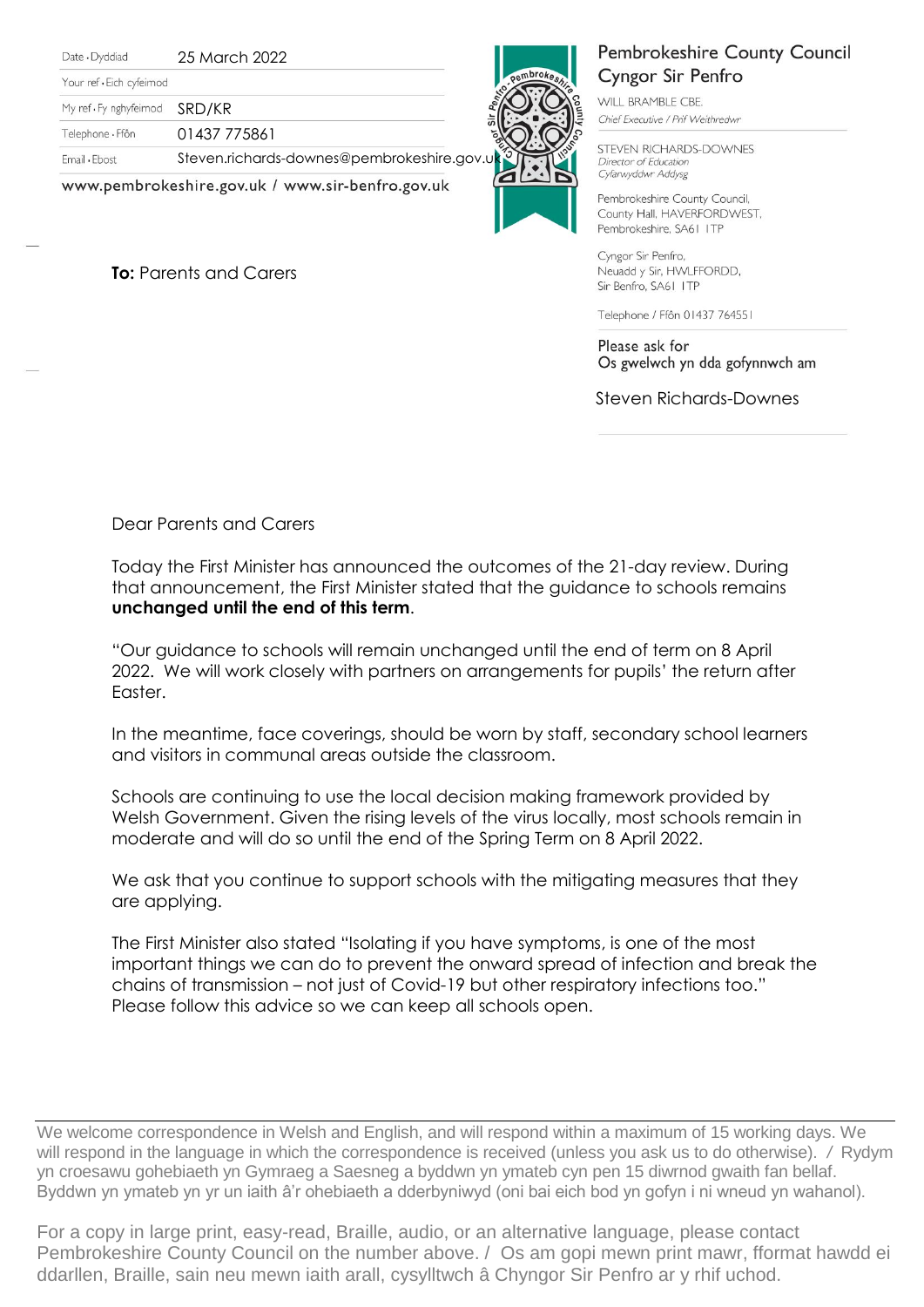Date · Dyddiad

25 March 2022

Your ref . Eich cyfeimod

My ref · Fy nghyfeimod SRD/KR

Telephone · Ffôn 01437 775861

Email . Ebost

Steven.richards-downes@pembrokeshire.gov

www.pembrokeshire.gov.uk / www.sir-benfro.gov.uk

**To:** Parents and Carers



## Pembrokeshire County Council Cyngor Sir Penfro WILL BRAMBLE CBE. Chief Executive / Prif Weithredwr

STEVEN RICHARDS-DOWNES Director of Education Cyfarwyddwr Addysg

Pembrokeshire County Council, County Hall, HAVERFORDWEST, Pembrokeshire, SA61 ITP

Cyngor Sir Penfro, Neuadd y Sir, HWLFFORDD, Sir Benfro, SA61 ITP

Telephone / Ffôn 01437 764551

Please ask for Os gwelwch yn dda gofynnwch am

Steven Richards-Downes

Dear Parents and Carers

Today the First Minister has announced the outcomes of the 21-day review. During that announcement, the First Minister stated that the guidance to schools remains **unchanged until the end of this term**.

"Our guidance to schools will remain unchanged until the end of term on 8 April 2022. We will work closely with partners on arrangements for pupils' the return after Easter.

In the meantime, face coverings, should be worn by staff, secondary school learners and visitors in communal areas outside the classroom.

Schools are continuing to use the local decision making framework provided by Welsh Government. Given the rising levels of the virus locally, most schools remain in moderate and will do so until the end of the Spring Term on 8 April 2022.

We ask that you continue to support schools with the mitigating measures that they are applying.

The First Minister also stated "Isolating if you have symptoms, is one of the most important things we can do to prevent the onward spread of infection and break the chains of transmission – not just of Covid-19 but other respiratory infections too." Please follow this advice so we can keep all schools open.

We welcome correspondence in Welsh and English, and will respond within a maximum of 15 working days. We will respond in the language in which the correspondence is received (unless you ask us to do otherwise). */* Rydym yn croesawu gohebiaeth yn Gymraeg a Saesneg a byddwn yn ymateb cyn pen 15 diwrnod gwaith fan bellaf. Byddwn yn ymateb yn yr un iaith â'r ohebiaeth a dderbyniwyd (oni bai eich bod yn gofyn i ni wneud yn wahanol).

For a copy in large print, easy-read, Braille, audio, or an alternative language, please contact Pembrokeshire County Council on the number above. / Os am gopi mewn print mawr, fformat hawdd ei ddarllen, Braille, sain neu mewn iaith arall, cysylltwch â Chyngor Sir Penfro ar y rhif uchod.